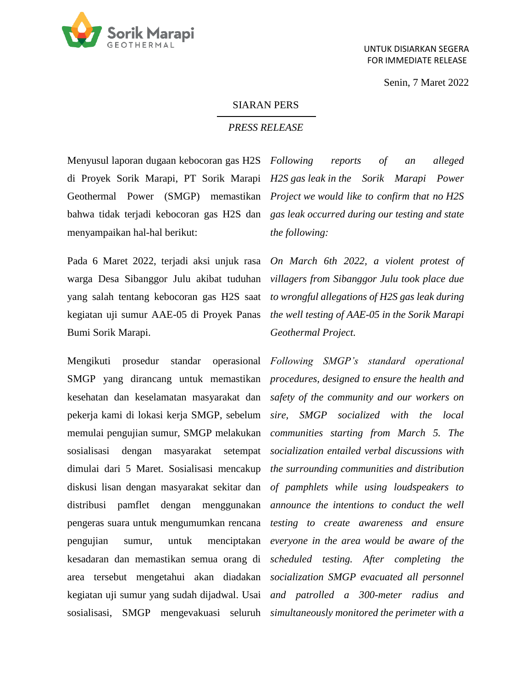

Senin, 7 Maret 2022

## SIARAN PERS

## *PRESS RELEASE*

Menyusul laporan dugaan kebocoran gas H2S *Following reports of an alleged*  menyampaikan hal-hal berikut:

Bumi Sorik Marapi.

Mengikuti prosedur standar

di Proyek Sorik Marapi, PT Sorik Marapi *H2S gas leak in the Sorik Marapi Power*  Geothermal Power (SMGP) memastikan *Project we would like to confirm that no H2S* bahwa tidak terjadi kebocoran gas H2S dan *gas leak occurred during our testing and state the following:*

Pada 6 Maret 2022, terjadi aksi unjuk rasa *On March 6th 2022, a violent protest of*  warga Desa Sibanggor Julu akibat tuduhan *villagers from Sibanggor Julu took place due*  yang salah tentang kebocoran gas H2S saat *to wrongful allegations of H2S gas leak during*  kegiatan uji sumur AAE-05 di Proyek Panas *the well testing of AAE-05 in the Sorik Marapi Geothermal Project.* 

SMGP yang dirancang untuk memastikan *procedures, designed to ensure the health and*  kesehatan dan keselamatan masyarakat dan *safety of the community and our workers on*  pekerja kami di lokasi kerja SMGP, sebelum *sire, SMGP socialized with the local*  memulai pengujian sumur, SMGP melakukan *communities starting from March 5. The*  sosialisasi dengan masyarakat setempat *socialization entailed verbal discussions with*  dimulai dari 5 Maret. Sosialisasi mencakup *the surrounding communities and distribution*  diskusi lisan dengan masyarakat sekitar dan *of pamphlets while using loudspeakers to*  distribusi pamflet dengan menggunakan *announce the intentions to conduct the well*  pengeras suara untuk mengumumkan rencana *testing to create awareness and ensure*  pengujian sumur, untuk menciptakan *everyone in the area would be aware of the*  kesadaran dan memastikan semua orang di *scheduled testing. After completing the*  area tersebut mengetahui akan diadakan *socialization SMGP evacuated all personnel*  kegiatan uji sumur yang sudah dijadwal. Usai *and patrolled a 300-meter radius and*  sosialisasi, SMGP mengevakuasi seluruh *simultaneously monitored the perimeter with a Following SMGP's standard operational*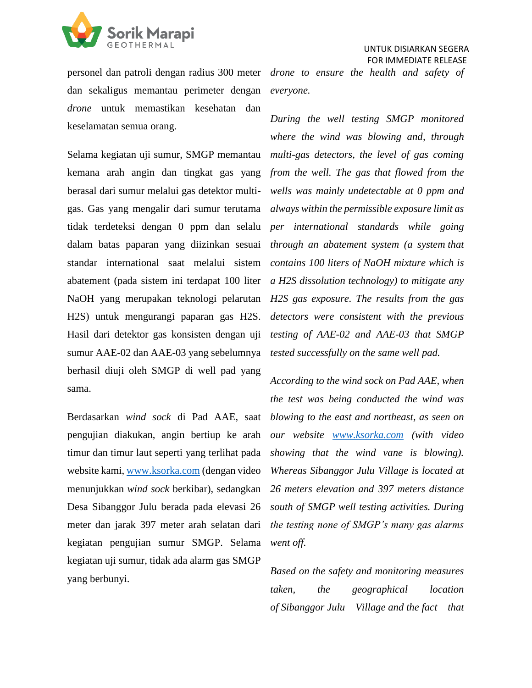

personel dan patroli dengan radius 300 meter *drone to ensure the health and safety of*  dan sekaligus memantau perimeter dengan *everyone. drone* untuk memastikan kesehatan dan keselamatan semua orang.

dalam batas paparan yang diizinkan sesuai *through an abatement system (a system that* sumur AAE-02 dan AAE-03 yang sebelumnya *tested successfully on the same well pad.* berhasil diuji oleh SMGP di well pad yang sama.

Berdasarkan *wind sock* di Pad AAE, saat pengujian diakukan, angin bertiup ke arah timur dan timur laut seperti yang terlihat pada *showing that the wind vane is blowing*). website kami[, www.ksorka.com](http://www.ksorka.com/) (dengan video menunjukkan *wind sock* berkibar), sedangkan Desa Sibanggor Julu berada pada elevasi 26 meter dan jarak 397 meter arah selatan dari kegiatan pengujian sumur SMGP. Selama kegiatan uji sumur, tidak ada alarm gas SMGP yang berbunyi.

Selama kegiatan uji sumur, SMGP memantau *multi-gas detectors, the level of gas coming*  kemana arah angin dan tingkat gas yang *from the well. The gas that flowed from the*  berasal dari sumur melalui gas detektor multi-*wells was mainly undetectable at 0 ppm and*  gas. Gas yang mengalir dari sumur terutama *always within the permissible exposure limit as*  tidak terdeteksi dengan 0 ppm dan selalu *per international standards while going*  standar international saat melalui sistem *contains 100 liters of NaOH mixture which is*  abatement (pada sistem ini terdapat 100 liter *a H2S dissolution technology) to mitigate any*  NaOH yang merupakan teknologi pelarutan *H2S gas exposure. The results from the gas*  H2S) untuk mengurangi paparan gas H2S. *detectors were consistent with the previous*  Hasil dari detektor gas konsisten dengan uji *testing of AAE-02 and AAE-03 that SMGP During the well testing SMGP monitored where the wind was blowing and, through* 

> *According to the wind sock on Pad AAE, when the test was being conducted the wind was blowing to the east and northeast, as seen on our website [www.ksorka.com](http://www.ksorka.com/) (with video Whereas Sibanggor Julu Village is located at 26 meters elevation and 397 meters distance south of SMGP well testing activities. During the testing none of SMGP's many gas alarms went off.*

> *Based on the safety and monitoring measures taken, the geographical location of Sibanggor Julu Village and the fact that*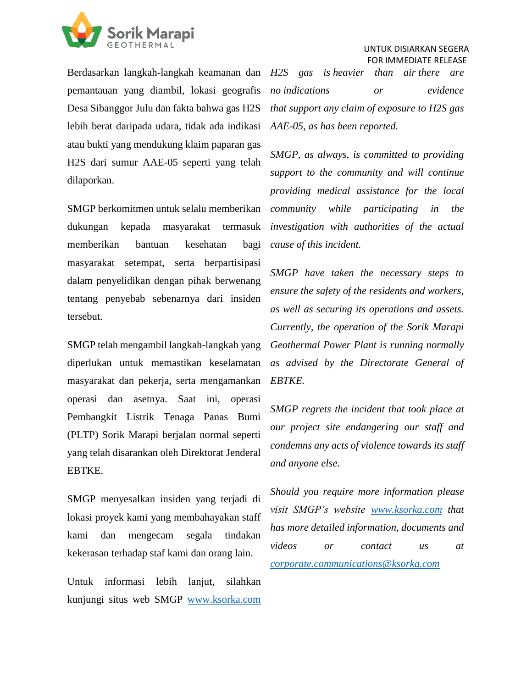

Berdasarkan langkah-langkah keamanan dan *H2S gas is heavier than air there are*  pemantauan yang diambil, lokasi geografis Desa Sibanggor Julu dan fakta bahwa gas H2S lebih berat daripada udara, tidak ada indikasi atau bukti yang mendukung klaim paparan gas H2S dari sumur AAE-05 seperti yang telah dilaporkan.

SMGP berkomitmen untuk selalu memberikan dukungan kepada masyarakat termasuk memberikan bantuan kesehatan bagi masyarakat setempat, serta berpartisipasi dalam penyelidikan dengan pihak berwenang tentang penyebab sebenarnya dari insiden tersebut.

SMGP telah mengambil langkah-langkah yang diperlukan untuk memastikan keselamatan masyarakat dan pekerja, serta mengamankan operasi dan asetnya. Saat ini, operasi Pembangkit Listrik Tenaga Panas Bumi (PLTP) Sorik Marapi berjalan normal seperti yang telah disarankan oleh Direktorat Jenderal EBTKE.

SMGP menyesalkan insiden yang terjadi di lokasi proyek kami yang membahayakan staff kami dan mengecam segala tindakan kekerasan terhadap staf kami dan orang lain.

Untuk informasi lebih lanjut, silahkan kunjungi situs web SMGP [www.ksorka.com](http://www.ksorka.com/) *no indications or evidence that support any claim of exposure to H2S gas AAE-05, as has been reported.*

*SMGP, as always, is committed to providing support to the community and will continue providing medical assistance for the local community while participating in the investigation with authorities of the actual cause of this incident.* 

*SMGP have taken the necessary steps to ensure the safety of the residents and workers, as well as securing its operations and assets. Currently, the operation of the Sorik Marapi Geothermal Power Plant is running normally as advised by the Directorate General of EBTKE.* 

*SMGP regrets the incident that took place at our project site endangering our staff and condemns any acts of violence towards its staff and anyone else.*

*Should you require more information please visit SMGP's website [www.ksorka.com](http://www.ksorka.com/) that has more detailed information, documents and videos or contact us at [corporate.communications@ksorka.com](mailto:corporate.communications@ksorka.com)*

## UNTUK DISIARKAN SEGERA FOR IMMEDIATE RELEASE